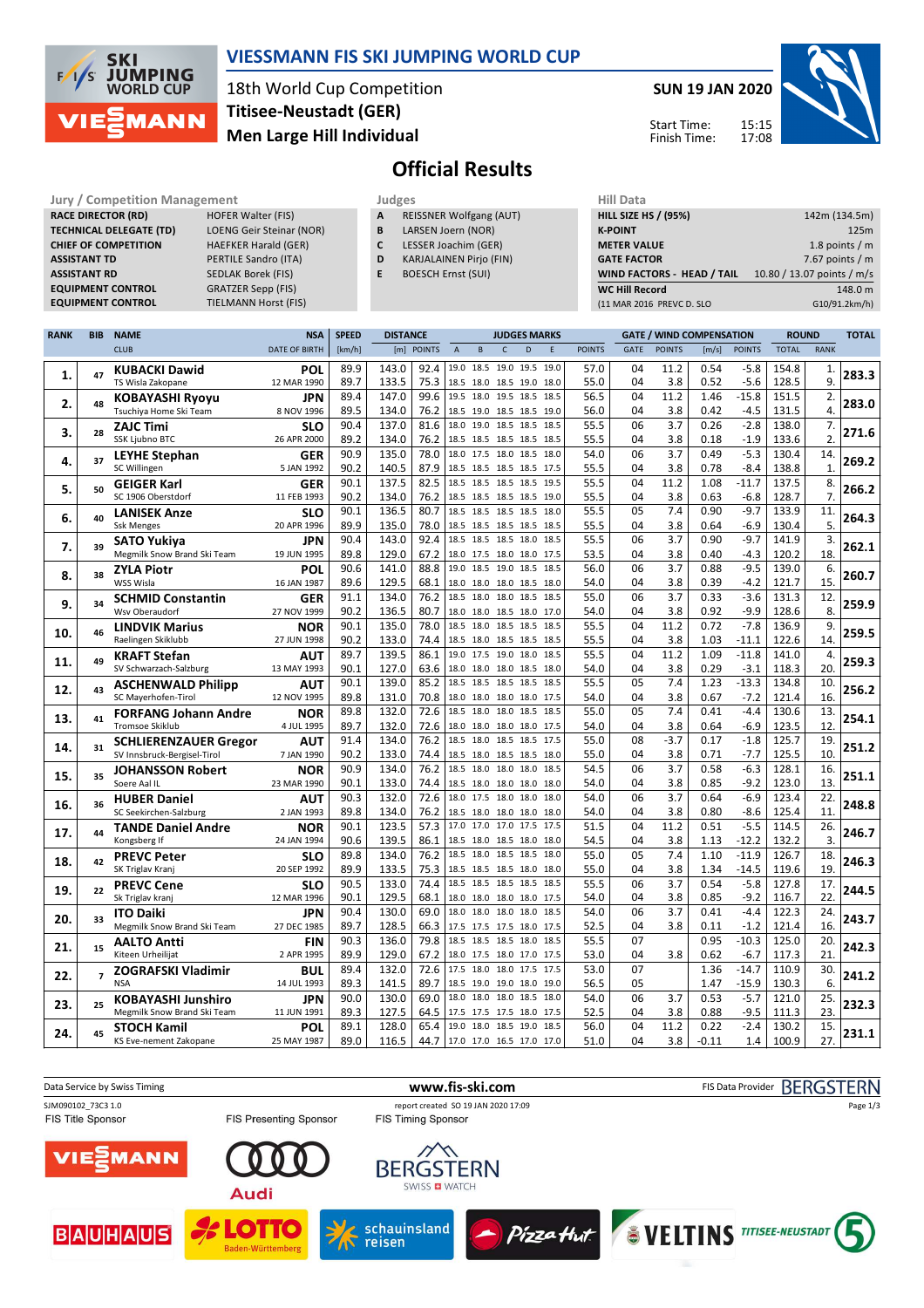

### **VIESSMANN FIS SKI JUMPING WORLD CUP**

18th World Cup Competition **Men Large Hill Individual Titisee-Neustadt (GER)**

**SUN 19 JAN 2020**

Start Time: Finish Time:



# **Official Results**

| <b>JULY / CONTRESSION MANAGEMENT</b> |                             |
|--------------------------------------|-----------------------------|
| <b>RACE DIRECTOR (RD)</b>            | <b>HOFER Walter (FIS)</b>   |
| <b>TECHNICAL DELEGATE (TD)</b>       | LOENG Geir Steinar (NOR)    |
| <b>CHIEF OF COMPETITION</b>          | <b>HAEFKER Harald (GER)</b> |
| <b>ASSISTANT TD</b>                  | PERTILE Sandro (ITA)        |
| <b>ASSISTANT RD</b>                  | <b>SEDLAK Borek (FIS)</b>   |
| <b>EQUIPMENT CONTROL</b>             | <b>GRATZER Sepp (FIS)</b>   |
|                                      |                             |

ER Sepp (FIS) **EQUIPMENT CONTROL** TIELMANN Horst (FIS)

| <b>Jury / Competition Management</b> |                           | Judges |                                | <b>Hill Data</b>   |
|--------------------------------------|---------------------------|--------|--------------------------------|--------------------|
| <b>RACE DIRECTOR (RD)</b>            | <b>HOFER Walter (FIS)</b> |        | <b>REISSNER Wolfgang (AUT)</b> | <b>HILL SIZE I</b> |

- **B** LARSEN Joern (NOR)
- **C** LESSER Joachim (GER)
- **D** KARJALAINEN Pirjo (FIN)
- **E** BOESCH Ernst (SUI)

| niil Data                   |                            |
|-----------------------------|----------------------------|
| <b>HILL SIZE HS / (95%)</b> | 142m (134.5m)              |
| <b>K-POINT</b>              | 125m                       |
| <b>METER VALUE</b>          | 1.8 points $/m$            |
| <b>GATE FACTOR</b>          | 7.67 points $/m$           |
| WIND FACTORS - HEAD / TAIL  | 10.80 / 13.07 points / m/s |
| <b>WC Hill Record</b>       | 148.0 m                    |
| (11 MAR 2016 PREVC D. SLO   | G10/91.2km/h)              |
|                             |                            |

| <b>RANK</b> | <b>BIB</b>     | <b>NAME</b>                                | <b>NSA</b>                | <b>SPEED</b> | <b>DISTANCE</b> |              |                                                      |              |              | <b>JUDGES MARKS</b>      |      |               |          | <b>GATE / WIND COMPENSATION</b> |              |                    |                | <b>ROUND</b>          |       |
|-------------|----------------|--------------------------------------------|---------------------------|--------------|-----------------|--------------|------------------------------------------------------|--------------|--------------|--------------------------|------|---------------|----------|---------------------------------|--------------|--------------------|----------------|-----------------------|-------|
|             |                | <b>CLUB</b>                                | <b>DATE OF BIRTH</b>      | [km/h]       |                 | [m] POINTS   | $\overline{A}$                                       | $\mathsf{B}$ | $\mathsf{C}$ | D                        | E    | <b>POINTS</b> | GATE     | <b>POINTS</b>                   | [m/s]        | <b>POINTS</b>      | <b>TOTAL</b>   | <b>RANK</b>           |       |
|             |                | <b>KUBACKI Dawid</b>                       | <b>POL</b>                | 89.9         | 143.0           | 92.4         | 19.0 18.5 19.0 19.5 19.0                             |              |              |                          |      | 57.0          | 04       | 11.2                            | 0.54         | $-5.8$             | 154.8          | $\mathbf{1}$          |       |
| 1.          | 47             | TS Wisla Zakopane                          | 12 MAR 1990               | 89.7         | 133.5           | 75.3         | 18.5 18.0 18.5 19.0 18.0                             |              |              |                          |      | 55.0          | 04       | 3.8                             | 0.52         | $-5.6$             | 128.5          | 9.                    | 283.3 |
|             |                | <b>KOBAYASHI Ryoyu</b>                     | JPN                       | 89.4         | 147.0           | 99.6         | 19.5 18.0 19.5 18.5 18.5                             |              |              |                          |      | 56.5          | 04       | 11.2                            | 1.46         | $-15.8$            | 151.5          | 2.                    |       |
| 2.          | 48             | Tsuchiya Home Ski Team                     | 8 NOV 1996                | 89.5         | 134.0           | 76.2         | 18.5 19.0 18.5 18.5 19.0                             |              |              |                          |      | 56.0          | 04       | 3.8                             | 0.42         | $-4.5$             | 131.5          | 4.                    | 283.0 |
| 3.          | 28             | <b>ZAJC Timi</b>                           | <b>SLO</b>                | 90.4         | 137.0           | 81.6         | 18.0 19.0 18.5 18.5 18.5                             |              |              |                          |      | 55.5          | 06       | 3.7                             | 0.26         | $-2.8$             | 138.0          | 7.                    | 271.6 |
|             |                | <b>SSK Ljubno BTC</b>                      | 26 APR 2000               | 89.2         | 134.0           | 76.2         | 18.5 18.5 18.5 18.5 18.5                             |              |              |                          |      | 55.5          | 04       | 3.8                             | 0.18         | $-1.9$             | 133.6          | 2.                    |       |
| 4.          | 37             | <b>LEYHE Stephan</b>                       | <b>GER</b>                | 90.9         | 135.0           | 78.0         | 18.0 17.5 18.0 18.5 18.0                             |              |              |                          |      | 54.0          | 06       | 3.7                             | 0.49         | $-5.3$             | 130.4          | 14.                   | 269.2 |
|             |                | SC Willingen                               | 5 JAN 1992                | 90.2         | 140.5           | 87.9         | 18.5 18.5 18.5 18.5 17.5                             |              |              |                          |      | 55.5          | 04       | 3.8                             | 0.78         | $-8.4$             | 138.8          | $\mathbf{1}$          |       |
| 5.          | 50             | <b>GEIGER Karl</b>                         | <b>GER</b>                | 90.1         | 137.5           | 82.5         | 18.5 18.5 18.5 18.5 19.5                             |              |              |                          |      | 55.5          | 04       | 11.2                            | 1.08         | $-11.7$            | 137.5          | 8.                    | 266.2 |
|             |                | SC 1906 Oberstdorf                         | 11 FEB 1993               | 90.2         | 134.0           | 76.2         | 18.5 18.5 18.5 18.5 19.0                             |              |              |                          |      | 55.5          | 04       | 3.8                             | 0.63         | $-6.8$             | 128.7          | 7.                    |       |
| 6.          | 40             | <b>LANISEK Anze</b>                        | <b>SLO</b>                | 90.1         | 136.5           | 80.7         | 18.5 18.5 18.5 18.5 18.0                             |              |              |                          |      | 55.5          | 05       | 7.4                             | 0.90         | $-9.7$             | 133.9          | 11.                   | 264.3 |
|             |                | <b>Ssk Menges</b>                          | 20 APR 1996               | 89.9         | 135.0           | 78.0         | 18.5 18.5 18.5 18.5 18.5                             |              |              |                          |      | 55.5          | 04       | 3.8                             | 0.64         | $-6.9$             | 130.4          | 5.                    |       |
| 7.          | 39             | <b>SATO Yukiva</b>                         | JPN                       | 90.4         | 143.0           | 92.4         | 18.5 18.5 18.5 18.0                                  |              |              |                          | 18.5 | 55.5          | 06       | 3.7                             | 0.90         | $-9.7$             | 141.9          | 3.                    | 262.1 |
|             |                | Megmilk Snow Brand Ski Team                | 19 JUN 1995               | 89.8         | 129.0           | 67.2<br>88.8 | 18.0 17.5 18.0 18.0 17.5<br>19.0                     |              |              | 18.5 19.0 18.5 18.5      |      | 53.5          | 04<br>06 | 3.8<br>3.7                      | 0.40         | $-4.3$<br>$-9.5$   | 120.2          | 18.                   |       |
| 8.          | 38             | <b>ZYLA Piotr</b><br>WSS Wisla             | POL<br>16 JAN 1987        | 90.6         | 141.0           | 68.1         | 18.0 18.0 18.0 18.5 18.0                             |              |              |                          |      | 56.0<br>54.0  |          | 3.8                             | 0.88         |                    | 139.0          | 6.<br>15.             | 260.7 |
|             |                |                                            |                           | 89.6<br>91.1 | 129.5<br>134.0  | 76.2         | 18.5 18.0 18.0 18.5 18.5                             |              |              |                          |      | 55.0          | 04<br>06 | 3.7                             | 0.39<br>0.33 | $-4.2$<br>$-3.6$   | 121.7<br>131.3 | 12.                   |       |
| 9.          | 34             | <b>SCHMID Constantin</b><br>Wsv Oberaudorf | <b>GER</b><br>27 NOV 1999 | 90.2         | 136.5           | 80.7         | 18.0 18.0 18.5 18.0 17.0                             |              |              |                          |      | 54.0          | 04       | 3.8                             | 0.92         | $-9.9$             | 128.6          | 8.                    | 259.9 |
|             |                | <b>LINDVIK Marius</b>                      | <b>NOR</b>                | 90.1         | 135.0           | 78.0         | 18.5                                                 |              |              | 18.0 18.5 18.5 18.5      |      | 55.5          | 04       | 11.2                            | 0.72         | $-7.8$             | 136.9          | 9.                    |       |
| 10.         | 46             | Raelingen Skiklubb                         | 27 JUN 1998               | 90.2         | 133.0           | 74.4         | 18.5 18.0 18.5 18.5 18.5                             |              |              |                          |      | 55.5          | 04       | 3.8                             | 1.03         | $-11.1$            | 122.6          | 14.                   | 259.5 |
|             |                | <b>KRAFT Stefan</b>                        | AUT                       | 89.7         | 139.5           | 86.1         | 19.0 17.5 19.0 18.0 18.5                             |              |              |                          |      | 55.5          | 04       | 11.2                            | 1.09         | $-11.8$            | 141.0          | 4.                    |       |
| 11.         | 49             | SV Schwarzach-Salzburg                     | 13 MAY 1993               | 90.1         | 127.0           | 63.6         | 18.0 18.0 18.0 18.5 18.0                             |              |              |                          |      | 54.0          | 04       | 3.8                             | 0.29         | $-3.1$             | 118.3          | 20.                   | 259.3 |
|             |                | <b>ASCHENWALD Philipp</b>                  | <b>AUT</b>                | 90.1         | 139.0           | 85.2         | 18.5                                                 |              |              | 18.5 18.5 18.5 18.5      |      | 55.5          | 05       | 7.4                             | 1.23         | $-13.3$            | 134.8          | 10.                   |       |
| 12.         | 43             | SC Mayerhofen-Tirol                        | 12 NOV 1995               | 89.8         | 131.0           | 70.8         | 18.0 18.0 18.0 18.0 17.5                             |              |              |                          |      | 54.0          | 04       | 3.8                             | 0.67         | $-7.2$             | 121.4          | 16.                   | 256.2 |
|             |                | <b>FORFANG Johann Andre</b>                | <b>NOR</b>                | 89.8         | 132.0           | 72.6         |                                                      |              |              | 18.5 18.0 18.0 18.5 18.5 |      | 55.0          | 05       | 7.4                             | 0.41         | $-4.4$             | 130.6          | 13.                   |       |
| 13.         | 41             | <b>Tromsoe Skiklub</b>                     | 4 JUL 1995                | 89.7         | 132.0           | 72.6         | 18.0 18.0 18.0 18.0 17.5                             |              |              |                          |      | 54.0          | 04       | 3.8                             | 0.64         | $-6.9$             | 123.5          | 12.                   | 254.1 |
| 14.         | 31             | <b>SCHLIERENZAUER Gregor</b>               | AUT                       | 91.4         | 134.0           | 76.2         | 18.5 18.0 18.5 18.5 17.5                             |              |              |                          |      | 55.0          | 08       | $-3.7$                          | 0.17         | $-1.8$             | 125.7          | 19.                   | 251.2 |
|             |                | SV Innsbruck-Bergisel-Tirol                | 7 JAN 1990                | 90.2         | 133.0           | 74.4         | 18.5 18.0 18.5 18.5 18.0                             |              |              |                          |      | 55.0          | 04       | 3.8                             | 0.71         | $-7.7$             | 125.5          | 10.                   |       |
| 15.         | 35             | <b>JOHANSSON Robert</b>                    | <b>NOR</b>                | 90.9         | 134.0           | 76.2         |                                                      |              |              | 18.5 18.0 18.0 18.0 18.5 |      | 54.5          | 06       | 3.7                             | 0.58         | $-6.3$             | 128.1          | 16.                   | 251.1 |
|             |                | Soere Aal IL                               | 23 MAR 1990               | 90.1         | 133.0           | 74.4         | 18.5 18.0 18.0 18.0 18.0                             |              |              |                          |      | 54.0          | 04       | 3.8                             | 0.85         | $-9.2$             | 123.0          | 13.                   |       |
| 16.         | 36             | <b>HUBER Daniel</b>                        | AUT                       | 90.3         | 132.0           | 72.6         | 18.0 17.5 18.0 18.0 18.0                             |              |              |                          |      | 54.0          | 06       | 3.7                             | 0.64         | $-6.9$             | 123.4          | 22.                   | 248.8 |
|             |                | SC Seekirchen-Salzburg                     | 2 JAN 1993                | 89.8         | 134.0           | 76.2         | 18.5 18.0 18.0 18.0 18.0                             |              |              |                          |      | 54.0          | 04       | 3.8                             | 0.80         | $-8.6$             | 125.4          | 11.                   |       |
| 17.         | 44             | <b>TANDE Daniel Andre</b>                  | <b>NOR</b>                | 90.1         | 123.5           | 57.3         | 17.0 17.0 17.0 17.5 17.5                             |              |              |                          |      | 51.5          | 04       | 11.2                            | 0.51         | $-5.5$             | 114.5          | 26.                   | 246.7 |
|             |                | Kongsberg If                               | 24 JAN 1994               | 90.6         | 139.5           | 86.1         | 18.5 18.0 18.5 18.0 18.0                             |              |              |                          |      | 54.5          | 04       | 3.8                             | 1.13         | $-12.2$            | 132.2          | $\overline{3}$<br>18. |       |
| 18.         | 42             | <b>PREVC Peter</b><br>SK Triglav Kranj     | <b>SLO</b><br>20 SEP 1992 | 89.8<br>89.9 | 134.0<br>133.5  | 76.2<br>75.3 | 18.5 18.0 18.5 18.5 18.0<br>18.5 18.5 18.5 18.0 18.0 |              |              |                          |      | 55.0<br>55.0  | 05<br>04 | 7.4<br>3.8                      | 1.10<br>1.34 | $-11.9$<br>$-14.5$ | 126.7<br>119.6 | 19.                   | 246.3 |
|             |                |                                            | <b>SLO</b>                | 90.5         | 133.0           | 74.4         | 18.5 18.5 18.5 18.5 18.5                             |              |              |                          |      | 55.5          | 06       | 3.7                             | 0.54         | $-5.8$             | 127.8          | 17.                   |       |
| 19.         | 22             | <b>PREVC Cene</b><br>Sk Triglav kranj      | 12 MAR 1996               | 90.1         | 129.5           | 68.1         | 18.0 18.0 18.0 18.0 17.5                             |              |              |                          |      | 54.0          | 04       | 3.8                             | 0.85         | $-9.2$             | 116.7          | 22.                   | 244.5 |
|             |                | <b>ITO Daiki</b>                           | JPN                       | 90.4         | 130.0           | 69.0         | 18.0 18.0 18.0 18.0 18.5                             |              |              |                          |      | 54.0          | 06       | 3.7                             | 0.41         | $-4.4$             | 122.3          | 24.                   |       |
| 20.         | 33             | Megmilk Snow Brand Ski Team                | 27 DEC 1985               | 89.7         | 128.5           | 66.3         | 17.5 17.5 17.5 18.0 17.5                             |              |              |                          |      | 52.5          | 04       | 3.8                             | 0.11         | $-1.2$             | 121.4          | 16.                   | 243.7 |
|             |                | <b>AALTO Antti</b>                         | <b>FIN</b>                | 90.3         | 136.0           | 79.8         | 18.5 18.5 18.5 18.0 18.5                             |              |              |                          |      | 55.5          | 07       |                                 | 0.95         | $-10.3$            | 125.0          | 20.                   |       |
| 21.         | 15             | Kiteen Urheilijat                          | 2 APR 1995                | 89.9         | 129.0           | 67.2         | 18.0 17.5 18.0 17.0 17.5                             |              |              |                          |      | 53.0          | 04       | 3.8                             | 0.62         | $-6.7$             | 117.3          | 21.                   | 242.3 |
|             |                | <b>ZOGRAFSKI Vladimir</b>                  | <b>BUL</b>                | 89.4         | 132.0           | 72.6         | 17.5 18.0 18.0 17.5 17.5                             |              |              |                          |      | 53.0          | 07       |                                 | 1.36         | $-14.7$            | 110.9          | 30.                   |       |
| 22.         | $\overline{z}$ | <b>NSA</b>                                 | 14 JUL 1993               | 89.3         | 141.5           | 89.7         | 18.5 19.0 19.0 18.0 19.0                             |              |              |                          |      | 56.5          | 05       |                                 | 1.47         | $-15.9$            | 130.3          | 6.                    | 241.2 |
|             | 25             | <b>KOBAYASHI Junshiro</b>                  | JPN                       | 90.0         | 130.0           | 69.0         | 18.0 18.0 18.0 18.5 18.0                             |              |              |                          |      | 54.0          | 06       | 3.7                             | 0.53         | $-5.7$             | 121.0          | 25.                   |       |
| 23.         |                | Megmilk Snow Brand Ski Team                | 11 JUN 1991               | 89.3         | 127.5           | 64.5         | 17.5 17.5 17.5 18.0                                  |              |              |                          | 17.5 | 52.5          | 04       | 3.8                             | 0.88         | $-9.5$             | 111.3          | 23.                   | 232.3 |
| 24.         | 45             | <b>STOCH Kamil</b>                         | POL                       | 89.1         | 128.0           | 65.4         | 19.0 18.0 18.5 19.0                                  |              |              |                          | 18.5 | 56.0          | 04       | 11.2                            | 0.22         | $-2.4$             | 130.2          | 15.                   | 231.1 |
|             |                | KS Eve-nement Zakopane                     | 25 MAY 1987               | 89.0         | 116.5           | 44.7         | 17.0 17.0 16.5 17.0 17.0                             |              |              |                          |      | 51.0          | 04       | 3.8                             | $-0.11$      | 1.4                | 100.9          | 27.                   |       |

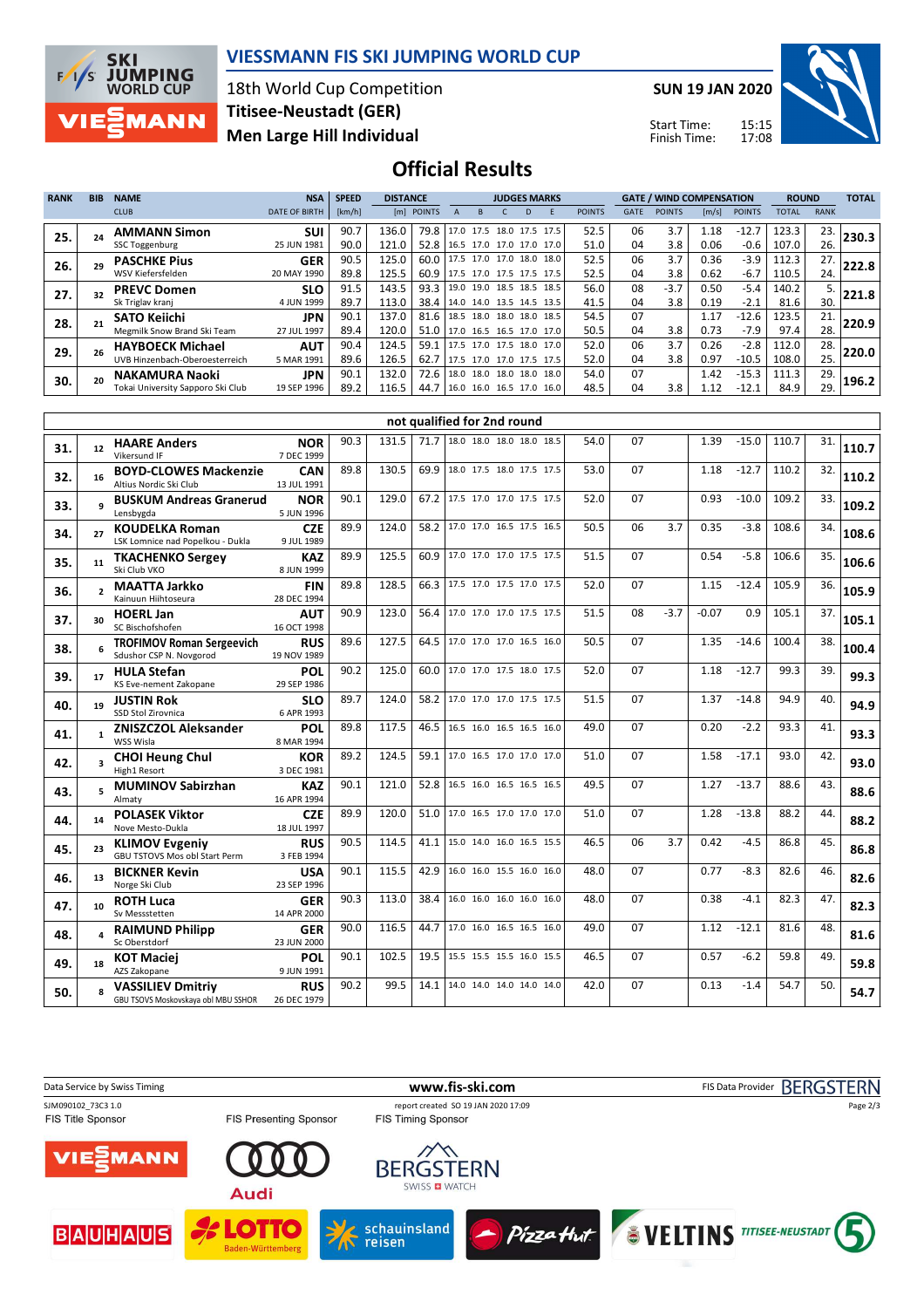

#### **VIESSMANN FIS SKI JUMPING WORLD CUP**

18th World Cup Competition **Men Large Hill Individual Titisee-Neustadt (GER)**

**SUN 19 JAN 2020**

Start Time: Finish Time:



**Official Results**

|             |            |                                   |                      |              | <b>DISTANCE</b><br><b>JUDGES MARKS</b> |            |  |                     |  |  |                          |               |             |                                 |       |               |              |             |              |
|-------------|------------|-----------------------------------|----------------------|--------------|----------------------------------------|------------|--|---------------------|--|--|--------------------------|---------------|-------------|---------------------------------|-------|---------------|--------------|-------------|--------------|
| <b>RANK</b> | <b>BIB</b> | <b>NAME</b>                       | <b>NSA</b>           | <b>SPEED</b> |                                        |            |  |                     |  |  |                          |               |             | <b>GATE / WIND COMPENSATION</b> |       |               | <b>ROUND</b> |             | <b>TOTAL</b> |
|             |            | <b>CLUB</b>                       | <b>DATE OF BIRTH</b> | [km/h]       |                                        | [m] POINTS |  |                     |  |  |                          | <b>POINTS</b> | <b>GATE</b> | <b>POINTS</b>                   | [m/s] | <b>POINTS</b> | <b>TOTAL</b> | <b>RANK</b> |              |
| 25.         |            | <b>AMMANN Simon</b>               | <b>SUI</b>           | 90.7         | 136.0                                  | 79.8       |  |                     |  |  | 17.0 17.5 18.0 17.5 17.5 | 52.5          | 06          | 3.7                             | 1.18  | $-12.7$       | 123.3        | 23.         | 230.3        |
|             |            | SSC Toggenburg                    | 25 JUN 1981          | 90.0         | 121.0                                  | 52.8       |  |                     |  |  | 16.5 17.0 17.0 17.0 17.0 | 51.0          | 04          | 3.8                             | 0.06  | $-0.6$        | 107.0        | 26.         |              |
| 26.         |            | <b>PASCHKE Pius</b>               | <b>GER</b>           | 90.5         | 125.0                                  | 60.0       |  | 17.5 17.0 17.0 18.0 |  |  | 18.0                     | 52.5          | 06          | 3.7                             | 0.36  | $-3.9$        | 112.3        | 27.         | 222.8        |
|             |            | WSV Kiefersfelden                 | 20 MAY 1990          | 89.8         | 125.5                                  | 60.9       |  |                     |  |  | 17.5 17.0 17.5 17.5 17.5 | 52.5          | 04          | 3.8                             | 0.62  | $-6.7$        | 110.5        | 24.         |              |
| 27.         |            | <b>PREVC Domen</b>                | <b>SLO</b>           | 91.5         | 143.5                                  | 93.3       |  | 19.0 19.0           |  |  | 18.5 18.5 18.5           | 56.0          | 08          | $-3.7$                          | 0.50  | $-5.4$        | 140.2        | 5.          | 221.8        |
|             |            | Sk Triglav kranj                  | 4 JUN 1999           | 89.7         | 113.0                                  | 38.4       |  |                     |  |  | 14.0 14.0 13.5 14.5 13.5 | 41.5          | 04          | 3.8                             | 0.19  | $-2.1$        | 81.6         | 30.         |              |
| 28.         |            | SATO Keiichi                      | <b>JPN</b>           | 90.1         | 137.0                                  | 81.6       |  | 18.5 18.0 18.0 18.0 |  |  | 18.5                     | 54.5          | 07          |                                 | 1.17  | $-12.6$       | 123.5        | 21.         | 220.9        |
|             |            | Megmilk Snow Brand Ski Team       | 27 JUL 1997          | 89.4         | 120.0                                  | 51.0       |  |                     |  |  | 17.0 16.5 16.5 17.0 17.0 | 50.5          | 04          | 3.8                             | 0.73  | $-7.9$        | 97.4         | 28.         |              |
| 29.         | 26         | <b>HAYBOECK Michael</b>           | <b>AUT</b>           | 90.4         | 124.5                                  | 59.1       |  | 17.5 17.0 17.5 18.0 |  |  | 17.0                     | 52.0          | 06          | 3.7                             | 0.26  | $-2.8$        | 112.0        | 28.         | 220.0        |
|             |            | UVB Hinzenbach-Oberoesterreich    | 5 MAR 1991           | 89.6         | 126.5                                  | 62.7       |  |                     |  |  | 17.5 17.0 17.0 17.5 17.5 | 52.0          | 04          | 3.8                             | 0.97  | $-10.5$       | 108.0        | 25.         |              |
| 30.         | 20         | <b>NAKAMURA Naoki</b>             | <b>JPN</b>           | 90.1         | 132.0                                  | 72.6       |  | 18.0 18.0 18.0 18.0 |  |  | 18.0                     | 54.0          | 07          |                                 | 1.42  | $-15.3$       | 111.3        | 29.         | 196.2        |
|             |            | Tokai University Sapporo Ski Club | 19 SEP 1996          | 89.2         | 116.5                                  | 44.7       |  |                     |  |  | 16.0 16.0 16.5 17.0 16.0 | 48.5          | 04          | 3.8                             | 1.12  | $-12.1$       | 84.9         | 29.         |              |

|     |                          |                                                                 |                           |      |       |      | not qualified for 2nd round   |      |    |        |         |         |       |     |       |
|-----|--------------------------|-----------------------------------------------------------------|---------------------------|------|-------|------|-------------------------------|------|----|--------|---------|---------|-------|-----|-------|
| 31. | 12 <sup>12</sup>         | <b>HAARE Anders</b><br>Vikersund IF                             | <b>NOR</b><br>7 DEC 1999  | 90.3 | 131.5 | 71.7 | 18.0 18.0 18.0 18.0 18.5      | 54.0 | 07 |        | 1.39    | $-15.0$ | 110.7 | 31. | 110.7 |
| 32. | 16                       | <b>BOYD-CLOWES Mackenzie</b><br>Altius Nordic Ski Club          | CAN<br>13 JUL 1991        | 89.8 | 130.5 | 69.9 | 18.0 17.5 18.0 17.5 17.5      | 53.0 | 07 |        | 1.18    | $-12.7$ | 110.2 | 32. | 110.2 |
| 33. |                          | <b>BUSKUM Andreas Granerud</b><br>Lensbygda                     | <b>NOR</b><br>5 JUN 1996  | 90.1 | 129.0 | 67.2 | 17.5 17.0 17.0 17.5 17.5      | 52.0 | 07 |        | 0.93    | $-10.0$ | 109.2 | 33. | 109.2 |
| 34. | 27                       | <b>KOUDELKA Roman</b><br>LSK Lomnice nad Popelkou - Dukla       | <b>CZE</b><br>9 JUL 1989  | 89.9 | 124.0 | 58.2 | 17.0 17.0 16.5 17.5 16.5      | 50.5 | 06 | 3.7    | 0.35    | $-3.8$  | 108.6 | 34. | 108.6 |
| 35. | 11                       | <b>TKACHENKO Sergey</b><br>Ski Club VKO                         | <b>KAZ</b><br>8 JUN 1999  | 89.9 | 125.5 | 60.9 | 17.0 17.0 17.0 17.5 17.5      | 51.5 | 07 |        | 0.54    | $-5.8$  | 106.6 | 35. | 106.6 |
| 36. | $\overline{\phantom{a}}$ | <b>MAATTA Jarkko</b><br>Kainuun Hiihtoseura                     | <b>FIN</b><br>28 DEC 1994 | 89.8 | 128.5 | 66.3 | 17.5 17.0 17.5 17.0 17.5      | 52.0 | 07 |        | 1.15    | $-12.4$ | 105.9 | 36. | 105.9 |
| 37. | 30                       | <b>HOERL Jan</b><br>SC Bischofshofen                            | <b>AUT</b><br>16 OCT 1998 | 90.9 | 123.0 | 56.4 | 17.0 17.0 17.0 17.5 17.5      | 51.5 | 08 | $-3.7$ | $-0.07$ | 0.9     | 105.1 | 37. | 105.1 |
| 38. |                          | <b>TROFIMOV Roman Sergeevich</b><br>Sdushor CSP N. Novgorod     | <b>RUS</b><br>19 NOV 1989 | 89.6 | 127.5 | 64.5 | 17.0 17.0 17.0 16.5 16.0      | 50.5 | 07 |        | 1.35    | $-14.6$ | 100.4 | 38. | 100.4 |
| 39. | 17                       | <b>HULA Stefan</b><br>KS Eve-nement Zakopane                    | POL<br>29 SEP 1986        | 90.2 | 125.0 | 60.0 | 17.0 17.0 17.5 18.0 17.5      | 52.0 | 07 |        | 1.18    | $-12.7$ | 99.3  | 39. | 99.3  |
| 40. | 19                       | <b>JUSTIN Rok</b><br>SSD Stol Zirovnica                         | <b>SLO</b><br>6 APR 1993  | 89.7 | 124.0 |      | 58.2 17.0 17.0 17.0 17.5 17.5 | 51.5 | 07 |        | 1.37    | $-14.8$ | 94.9  | 40. | 94.9  |
| 41. | $\mathbf{1}$             | <b>ZNISZCZOL Aleksander</b><br>WSS Wisla                        | POL<br>8 MAR 1994         | 89.8 | 117.5 | 46.5 | 16.5 16.0 16.5 16.5 16.0      | 49.0 | 07 |        | 0.20    | $-2.2$  | 93.3  | 41. | 93.3  |
| 42. | 3                        | <b>CHOI Heung Chul</b><br>High1 Resort                          | <b>KOR</b><br>3 DEC 1981  | 89.2 | 124.5 | 59.1 | 17.0 16.5 17.0 17.0 17.0      | 51.0 | 07 |        | 1.58    | $-17.1$ | 93.0  | 42. | 93.0  |
| 43. | 5                        | <b>MUMINOV Sabirzhan</b><br>Almaty                              | <b>KAZ</b><br>16 APR 1994 | 90.1 | 121.0 | 52.8 | 16.5 16.0 16.5 16.5 16.5      | 49.5 | 07 |        | 1.27    | $-13.7$ | 88.6  | 43. | 88.6  |
| 44. | 14                       | <b>POLASEK Viktor</b><br>Nove Mesto-Dukla                       | <b>CZE</b><br>18 JUL 1997 | 89.9 | 120.0 | 51.0 | 17.0 16.5 17.0 17.0 17.0      | 51.0 | 07 |        | 1.28    | $-13.8$ | 88.2  | 44. | 88.2  |
| 45. | 23                       | <b>KLIMOV Evgeniy</b><br>GBU TSTOVS Mos obl Start Perm          | <b>RUS</b><br>3 FEB 1994  | 90.5 | 114.5 | 41.1 | 15.0 14.0 16.0 16.5 15.5      | 46.5 | 06 | 3.7    | 0.42    | $-4.5$  | 86.8  | 45. | 86.8  |
| 46. | 13                       | <b>BICKNER Kevin</b><br>Norge Ski Club                          | <b>USA</b><br>23 SEP 1996 | 90.1 | 115.5 | 42.9 | 16.0 16.0 15.5 16.0 16.0      | 48.0 | 07 |        | 0.77    | $-8.3$  | 82.6  | 46. | 82.6  |
| 47. | 10                       | <b>ROTH Luca</b><br>Sv Messstetten                              | <b>GER</b><br>14 APR 2000 | 90.3 | 113.0 | 38.4 | 16.0 16.0 16.0 16.0 16.0      | 48.0 | 07 |        | 0.38    | $-4.1$  | 82.3  | 47. | 82.3  |
| 48. |                          | <b>RAIMUND Philipp</b><br>Sc Oberstdorf                         | <b>GER</b><br>23 JUN 2000 | 90.0 | 116.5 | 44.7 | 17.0 16.0 16.5 16.5 16.0      | 49.0 | 07 |        | 1.12    | $-12.1$ | 81.6  | 48. | 81.6  |
| 49. | 18                       | <b>KOT Maciej</b><br>AZS Zakopane                               | POL<br>9 JUN 1991         | 90.1 | 102.5 | 19.5 | 15.5 15.5 15.5 16.0 15.5      | 46.5 | 07 |        | 0.57    | $-6.2$  | 59.8  | 49. | 59.8  |
| 50. |                          | <b>VASSILIEV Dmitriy</b><br>GBU TSOVS Moskovskaya obl MBU SSHOR | <b>RUS</b><br>26 DEC 1979 | 90.2 | 99.5  | 14.1 | 14.0 14.0 14.0 14.0 14.0      | 42.0 | 07 |        | 0.13    | $-1.4$  | 54.7  | 50. | 54.7  |

Data Service by Swiss Timing **WWW.fis-ski.com www.fis-ski.com** FIS Data Provider BERGSTERN SJM090102\_73C3 1.0 report created SO 19 JAN 2020 17:09<br>FIS Title Sponsor FIS Timing Sponsor FIS Timing Sponsor Page 2/3FIS Presenting Sponsor MANN गर **BERGSTERN** SWISS **D** WATCH **Audi LOTTO BAUHAUS** Pizzattut schauinsland **WELTINS** TITISEE-NEUSTADT reisen Baden-Württemberg